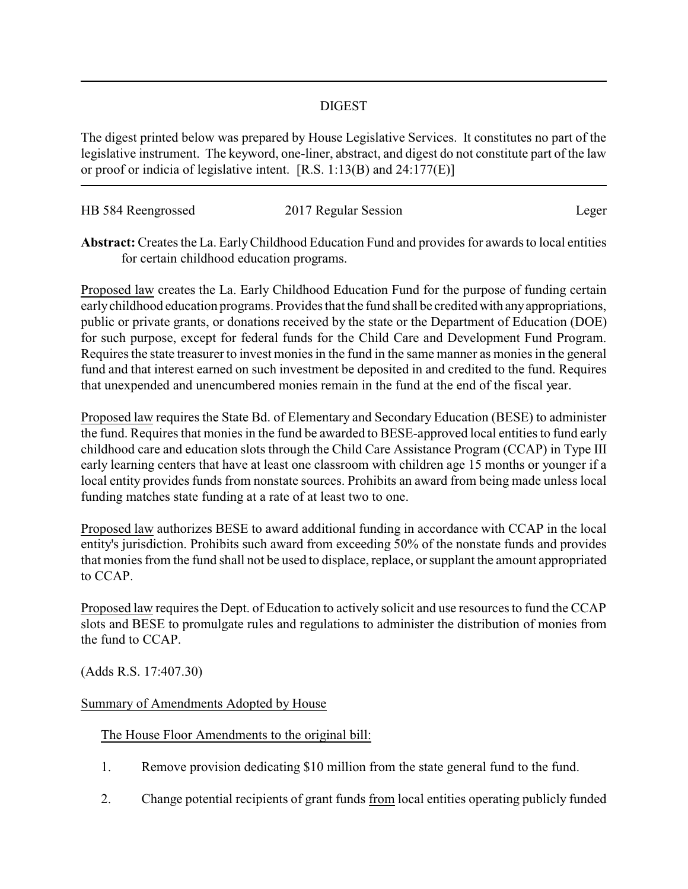## DIGEST

The digest printed below was prepared by House Legislative Services. It constitutes no part of the legislative instrument. The keyword, one-liner, abstract, and digest do not constitute part of the law or proof or indicia of legislative intent. [R.S. 1:13(B) and 24:177(E)]

| HB 584 Reengrossed | 2017 Regular Session |       |
|--------------------|----------------------|-------|
|                    |                      | Leger |

**Abstract:**Creates the La. EarlyChildhood Education Fund and provides for awards to local entities for certain childhood education programs.

Proposed law creates the La. Early Childhood Education Fund for the purpose of funding certain earlychildhood education programs. Provides that the fund shall be credited with anyappropriations, public or private grants, or donations received by the state or the Department of Education (DOE) for such purpose, except for federal funds for the Child Care and Development Fund Program. Requires the state treasurer to invest monies in the fund in the same manner as monies in the general fund and that interest earned on such investment be deposited in and credited to the fund. Requires that unexpended and unencumbered monies remain in the fund at the end of the fiscal year.

Proposed law requires the State Bd. of Elementary and Secondary Education (BESE) to administer the fund. Requires that monies in the fund be awarded to BESE-approved local entities to fund early childhood care and education slots through the Child Care Assistance Program (CCAP) in Type III early learning centers that have at least one classroom with children age 15 months or younger if a local entity provides funds from nonstate sources. Prohibits an award from being made unless local funding matches state funding at a rate of at least two to one.

Proposed law authorizes BESE to award additional funding in accordance with CCAP in the local entity's jurisdiction. Prohibits such award from exceeding 50% of the nonstate funds and provides that monies from the fund shall not be used to displace, replace, or supplant the amount appropriated to CCAP.

Proposed law requires the Dept. of Education to actively solicit and use resources to fund the CCAP slots and BESE to promulgate rules and regulations to administer the distribution of monies from the fund to CCAP.

(Adds R.S. 17:407.30)

## Summary of Amendments Adopted by House

The House Floor Amendments to the original bill:

- 1. Remove provision dedicating \$10 million from the state general fund to the fund.
- 2. Change potential recipients of grant funds from local entities operating publicly funded